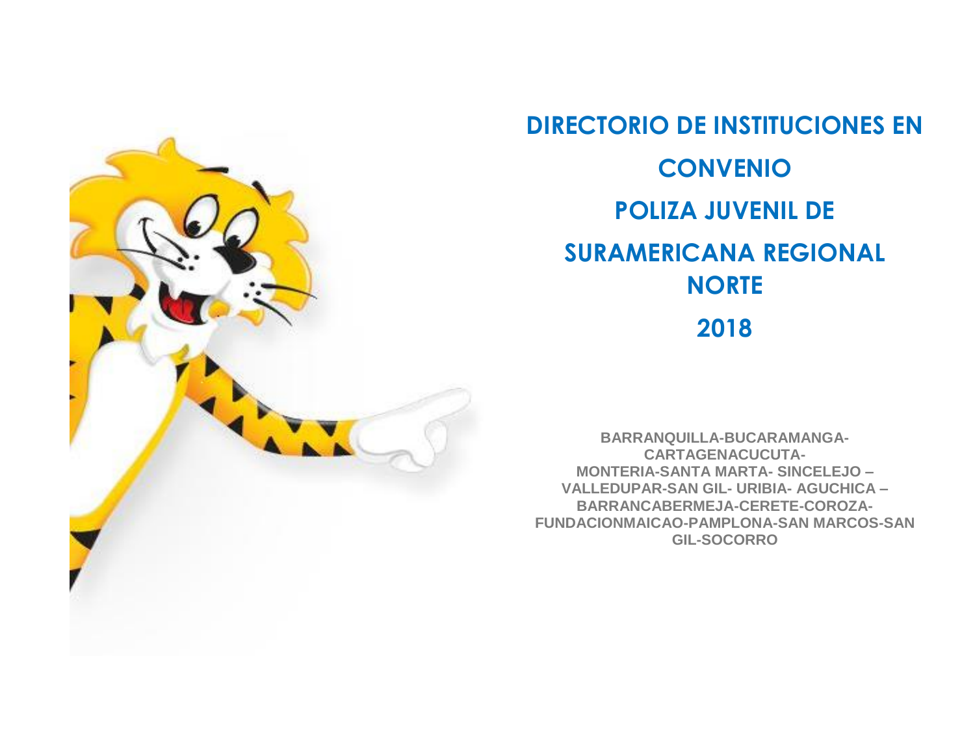

**DIRECTORIO DE INSTITUCIONES EN CONVENIO POLIZA JUVENIL DE SURAMERICANA REGIONAL NORTE 2018**

**BARRANQUILLA-BUCARAMANGA-CARTAGENACUCUTA-MONTERIA-SANTA MARTA- SINCELEJO – VALLEDUPAR-SAN GIL- URIBIA- AGUCHICA – BARRANCABERMEJA-CERETE-COROZA-FUNDACIONMAICAO-PAMPLONA-SAN MARCOS-SAN GIL-SOCORRO**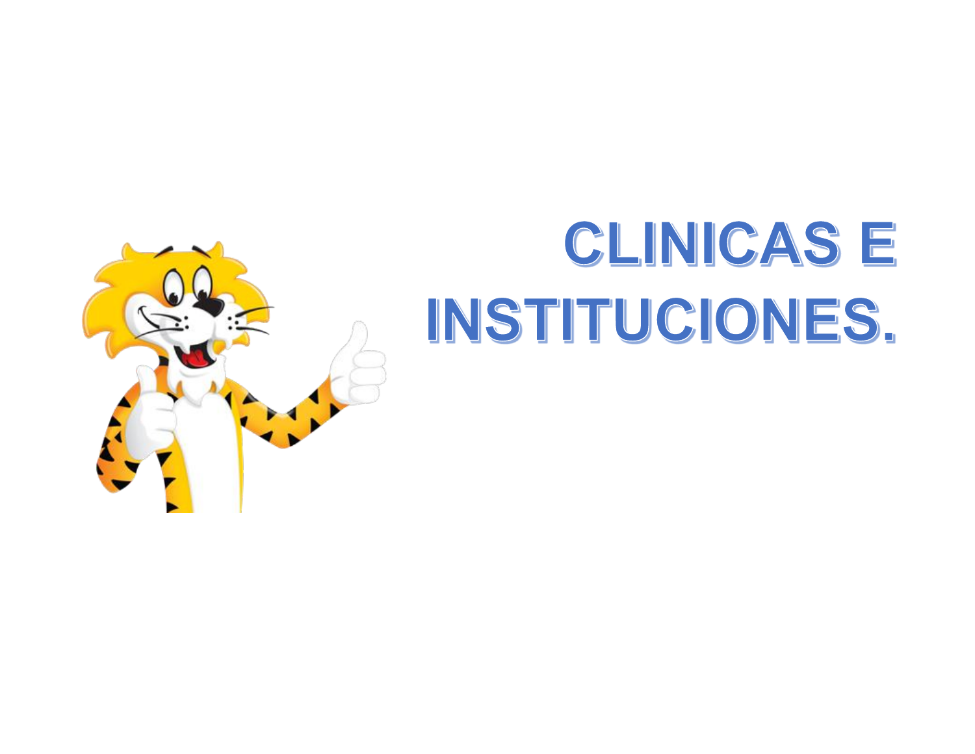

## CLINICAS E INSTITUCIONES.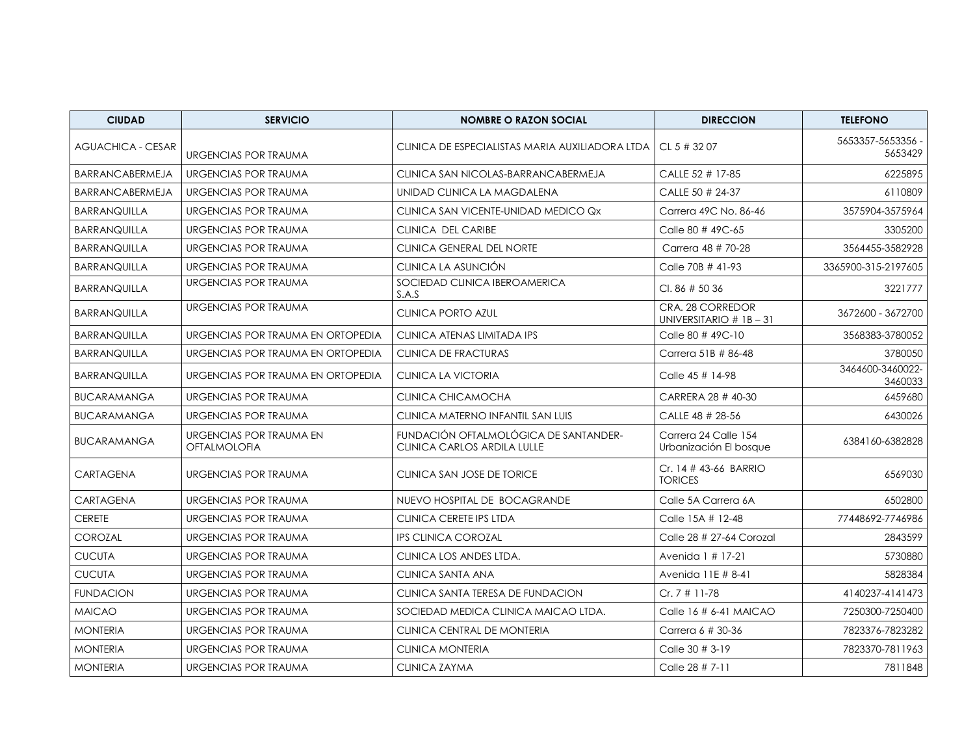| <b>CIUDAD</b>            | <b>SERVICIO</b>                                | <b>NOMBRE O RAZON SOCIAL</b>                                         | <b>DIRECCION</b>                               | <b>TELEFONO</b>              |
|--------------------------|------------------------------------------------|----------------------------------------------------------------------|------------------------------------------------|------------------------------|
| <b>AGUACHICA - CESAR</b> | <b>URGENCIAS POR TRAUMA</b>                    | CLINICA DE ESPECIALISTAS MARIA AUXILIADORA LTDA                      | CL 5 # 32 07                                   | 5653357-5653356 -<br>5653429 |
| <b>BARRANCABERMEJA</b>   | URGENCIAS POR TRAUMA                           | CLINICA SAN NICOLAS-BARRANCABERMEJA                                  | CALLE 52 # 17-85                               | 6225895                      |
| <b>BARRANCABERMEJA</b>   | URGENCIAS POR TRAUMA                           | UNIDAD CLINICA LA MAGDALENA                                          | CALLE 50 # 24-37                               | 6110809                      |
| <b>BARRANQUILLA</b>      | <b>URGENCIAS POR TRAUMA</b>                    | CLINICA SAN VICENTE-UNIDAD MEDICO Qx                                 | Carrera 49C No. 86-46                          | 3575904-3575964              |
| <b>BARRANQUILLA</b>      | URGENCIAS POR TRAUMA                           | CLINICA DEL CARIBE                                                   | Calle 80 # 49C-65                              | 3305200                      |
| <b>BARRANQUILLA</b>      | URGENCIAS POR TRAUMA                           | CLINICA GENERAL DEL NORTE                                            | Carrera 48 # 70-28                             | 3564455-3582928              |
| <b>BARRANQUILLA</b>      | URGENCIAS POR TRAUMA                           | CLINICA LA ASUNCIÓN                                                  | Calle 70B # 41-93                              | 3365900-315-2197605          |
| <b>BARRANQUILLA</b>      | <b>URGENCIAS POR TRAUMA</b>                    | SOCIEDAD CLINICA IBEROAMERICA<br>S.A.S                               | Cl. 86 # 50 36                                 | 3221777                      |
| <b>BARRANQUILLA</b>      | <b>URGENCIAS POR TRAUMA</b>                    | <b>CLINICA PORTO AZUL</b>                                            | CRA. 28 CORREDOR<br>UNIVERSITARIO # $1B - 31$  | 3672600 - 3672700            |
| <b>BARRANQUILLA</b>      | URGENCIAS POR TRAUMA EN ORTOPEDIA              | CLINICA ATENAS LIMITADA IPS                                          | Calle 80 # 49C-10                              | 3568383-3780052              |
| <b>BARRANQUILLA</b>      | URGENCIAS POR TRAUMA EN ORTOPEDIA              | <b>CLINICA DE FRACTURAS</b>                                          | Carrera 51B # 86-48                            | 3780050                      |
| <b>BARRANQUILLA</b>      | URGENCIAS POR TRAUMA EN ORTOPEDIA              | CLINICA LA VICTORIA                                                  | Calle 45 # 14-98                               | 3464600-3460022-<br>3460033  |
| <b>BUCARAMANGA</b>       | URGENCIAS POR TRAUMA                           | <b>CLINICA CHICAMOCHA</b>                                            | CARRERA 28 #40-30                              | 6459680                      |
| <b>BUCARAMANGA</b>       | <b>URGENCIAS POR TRAUMA</b>                    | CLINICA MATERNO INFANTIL SAN LUIS                                    | CALLE 48 # 28-56                               | 6430026                      |
| <b>BUCARAMANGA</b>       | URGENCIAS POR TRAUMA EN<br><b>OFTALMOLOFIA</b> | FUNDACIÓN OFTALMOLÓGICA DE SANTANDER-<br>CLINICA CARLOS ARDILA LULLE | Carrera 24 Calle 154<br>Urbanización El bosque | 6384160-6382828              |
| CARTAGENA                | <b>URGENCIAS POR TRAUMA</b>                    | CLINICA SAN JOSE DE TORICE                                           | Cr. 14 # 43-66 BARRIO<br><b>TORICES</b>        | 6569030                      |
| CARTAGENA                | URGENCIAS POR TRAUMA                           | NUEVO HOSPITAL DE BOCAGRANDE                                         | Calle 5A Carrera 6A                            | 6502800                      |
| <b>CERETE</b>            | <b>URGENCIAS POR TRAUMA</b>                    | <b>CLINICA CERETE IPS LTDA</b>                                       | Calle 15A # 12-48                              | 77448692-7746986             |
| <b>COROZAL</b>           | <b>URGENCIAS POR TRAUMA</b>                    | <b>IPS CLINICA COROZAL</b>                                           | Calle 28 # 27-64 Corozal                       | 2843599                      |
| <b>CUCUTA</b>            | URGENCIAS POR TRAUMA                           | CLINICA LOS ANDES LTDA.                                              | Avenida 1 # 17-21                              | 5730880                      |
| <b>CUCUTA</b>            | <b>URGENCIAS POR TRAUMA</b>                    | CLINICA SANTA ANA                                                    | Avenida $11E \# 8-41$                          | 5828384                      |
| <b>FUNDACION</b>         | <b>URGENCIAS POR TRAUMA</b>                    | CLINICA SANTA TERESA DE FUNDACION                                    | $Cr.7#11-78$                                   | 4140237-4141473              |
| <b>MAICAO</b>            | URGENCIAS POR TRAUMA                           | SOCIEDAD MEDICA CLINICA MAICAO LTDA.                                 | Calle 16 # 6-41 MAICAO                         | 7250300-7250400              |
| <b>MONTERIA</b>          | <b>URGENCIAS POR TRAUMA</b>                    | CLINICA CENTRAL DE MONTERIA                                          | Carrera 6 # 30-36                              | 7823376-7823282              |
| <b>MONTERIA</b>          | URGENCIAS POR TRAUMA                           | <b>CLINICA MONTERIA</b>                                              | Calle 30 # 3-19                                | 7823370-7811963              |
| <b>MONTERIA</b>          | <b>URGENCIAS POR TRAUMA</b>                    | CLINICA ZAYMA                                                        | Calle 28 # 7-11                                | 7811848                      |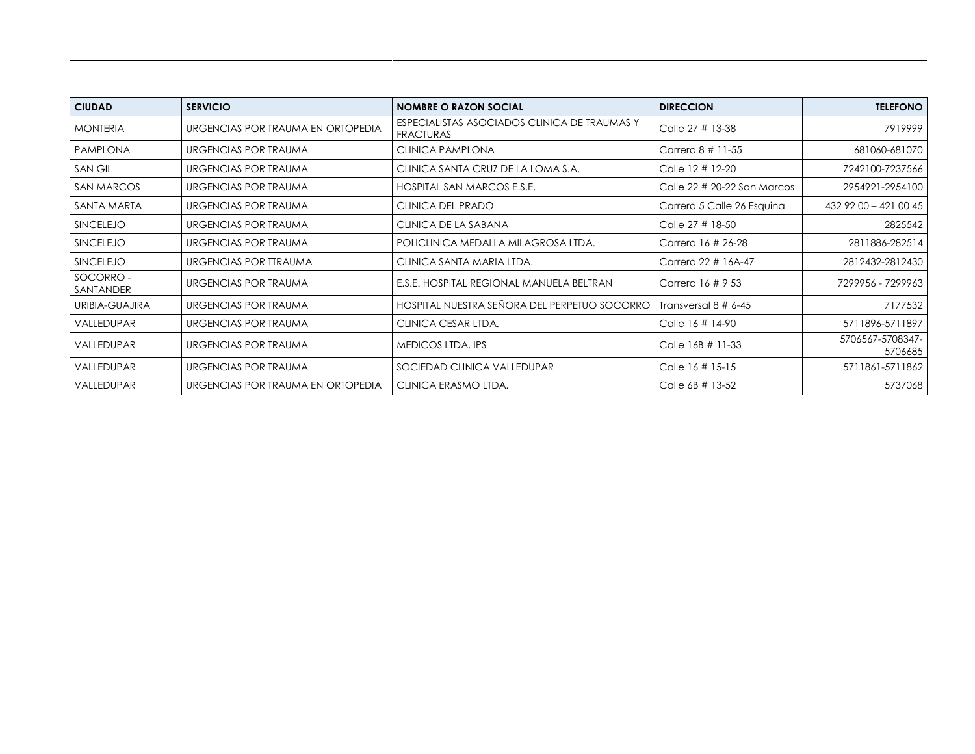| <b>CIUDAD</b>         | <b>SERVICIO</b>                   | <b>NOMBRE O RAZON SOCIAL</b>                                     | <b>DIRECCION</b>            | <b>TELEFONO</b>             |
|-----------------------|-----------------------------------|------------------------------------------------------------------|-----------------------------|-----------------------------|
| <b>MONTERIA</b>       | URGENCIAS POR TRAUMA EN ORTOPEDIA | ESPECIALISTAS ASOCIADOS CLINICA DE TRAUMAS Y<br><b>FRACTURAS</b> | Calle 27 # 13-38            | 7919999                     |
| <b>PAMPLONA</b>       | URGENCIAS POR TRAUMA              | <b>CLINICA PAMPLONA</b>                                          | Carrera 8 # 11-55           | 681060-681070               |
| <b>SAN GIL</b>        | URGENCIAS POR TRAUMA              | CLINICA SANTA CRUZ DE LA LOMA S.A.                               | Calle 12 # 12-20            | 7242100-7237566             |
| SAN MARCOS            | URGENCIAS POR TRAUMA              | HOSPITAL SAN MARCOS E.S.E.                                       | Calle 22 # 20-22 San Marcos | 2954921-2954100             |
| SANTA MARTA           | URGENCIAS POR TRAUMA              | <b>CLINICA DEL PRADO</b>                                         | Carrera 5 Calle 26 Esquina  | 432 92 00 - 421 00 45       |
| SINCELEJO             | <b>URGENCIAS POR TRAUMA</b>       | CLINICA DE LA SABANA                                             | Calle 27 # 18-50            | 2825542                     |
| SINCELEJO             | URGENCIAS POR TRAUMA              | POLICLINICA MEDALLA MILAGROSA LTDA.                              | Carrera 16 # 26-28          | 2811886-282514              |
| SINCELEJO             | URGENCIAS POR TTRAUMA             | CLINICA SANTA MARIA LTDA.                                        | Carrera 22 # 16A-47         | 2812432-2812430             |
| SOCORRO-<br>SANTANDER | URGENCIAS POR TRAUMA              | E.S.E. HOSPITAL REGIONAL MANUELA BELTRAN                         | Carrera 16 # 9 53           | 7299956 - 7299963           |
| URIBIA-GUAJIRA        | URGENCIAS POR TRAUMA              | HOSPITAL NUESTRA SEÑORA DEL PERPETUO SOCORRO                     | Transversal $8# 6-45$       | 7177532                     |
| VALLEDUPAR            | URGENCIAS POR TRAUMA              | CLINICA CESAR LTDA.                                              | Calle $16 \# 14 - 90$       | 5711896-5711897             |
| VALLEDUPAR            | URGENCIAS POR TRAUMA              | MEDICOS LTDA. IPS                                                | Calle 16B # 11-33           | 5706567-5708347-<br>5706685 |
| VALLEDUPAR            | <b>URGENCIAS POR TRAUMA</b>       | SOCIEDAD CLINICA VALLEDUPAR                                      | Calle $16 \# 15 - 15$       | 5711861-5711862             |
| VALLEDUPAR            | URGENCIAS POR TRAUMA EN ORTOPEDIA | CLINICA ERASMO LTDA.                                             | Calle 6B # 13-52            | 5737068                     |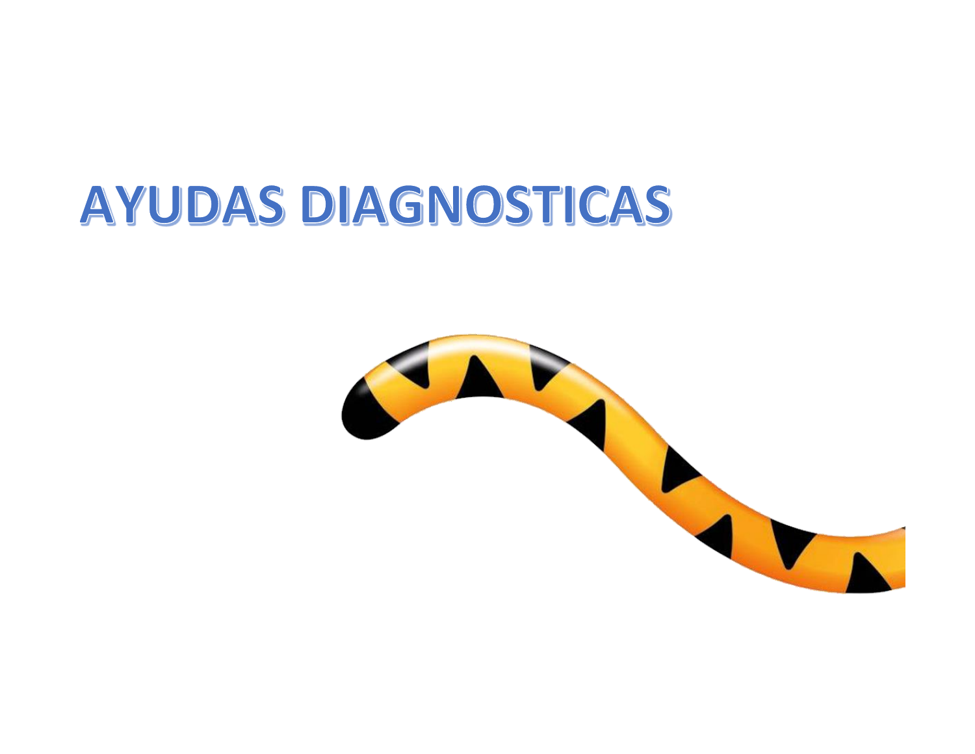## AYUDAS DIAGNOSTICAS

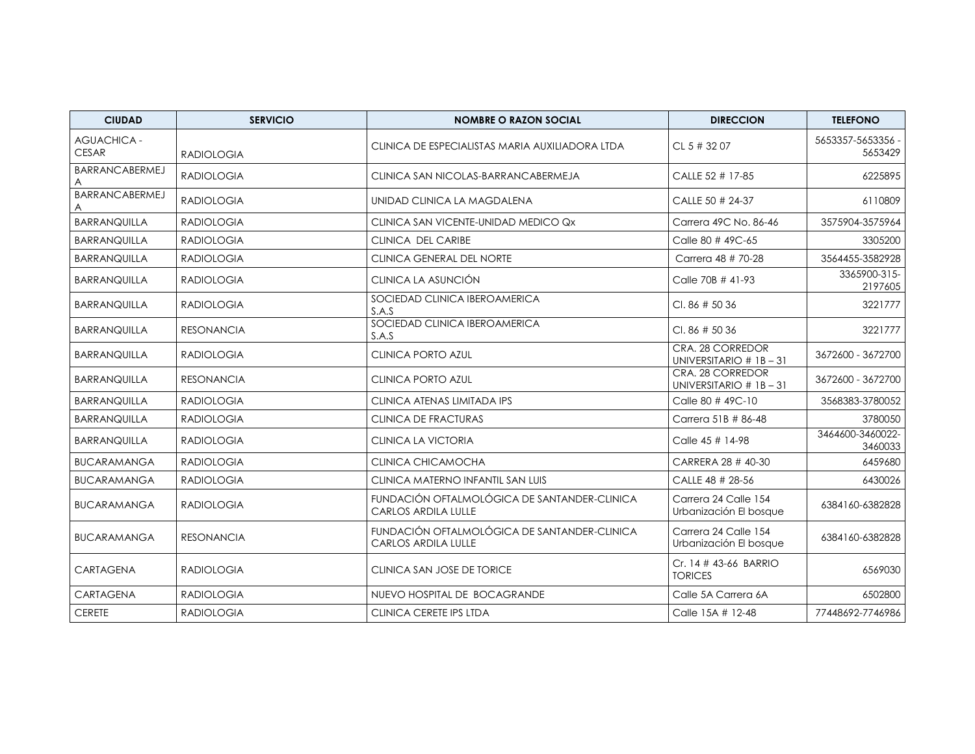| <b>CIUDAD</b>                      | <b>SERVICIO</b>   | <b>NOMBRE O RAZON SOCIAL</b>                                               | <b>DIRECCION</b>                                | <b>TELEFONO</b>              |
|------------------------------------|-------------------|----------------------------------------------------------------------------|-------------------------------------------------|------------------------------|
| <b>AGUACHICA -</b><br><b>CESAR</b> | <b>RADIOLOGIA</b> | CLINICA DE ESPECIALISTAS MARIA AUXILIADORA LTDA                            | CL 5 # 32 07                                    | 5653357-5653356 -<br>5653429 |
| <b>BARRANCABERMEJ</b>              | <b>RADIOLOGIA</b> | CLINICA SAN NICOLAS-BARRANCABERMEJA                                        | CALLE 52 # 17-85                                | 6225895                      |
| BARRANCABERMEJ<br>A                | <b>RADIOLOGIA</b> | UNIDAD CLINICA LA MAGDALENA                                                | CALLE 50 # 24-37                                | 6110809                      |
| <b>BARRANQUILLA</b>                | <b>RADIOLOGIA</b> | CLINICA SAN VICENTE-UNIDAD MEDICO Qx                                       | Carrera 49C No. 86-46                           | 3575904-3575964              |
| <b>BARRANQUILLA</b>                | <b>RADIOLOGIA</b> | CLINICA DEL CARIBE                                                         | Calle 80 # 49C-65                               | 3305200                      |
| <b>BARRANQUILLA</b>                | <b>RADIOLOGIA</b> | <b>CLINICA GENERAL DEL NORTE</b>                                           | Carrera 48 # 70-28                              | 3564455-3582928              |
| <b>BARRANQUILLA</b>                | <b>RADIOLOGIA</b> | CLINICA LA ASUNCIÓN                                                        | Calle 70B # 41-93                               | 3365900-315-<br>2197605      |
| <b>BARRANQUILLA</b>                | <b>RADIOLOGIA</b> | SOCIEDAD CLINICA IBEROAMERICA<br>S.A.S                                     | Cl. 86 # 50 36                                  | 3221777                      |
| <b>BARRANQUILLA</b>                | <b>RESONANCIA</b> | SOCIEDAD CLINICA IBEROAMERICA<br>S.A.S                                     | $Cl. 86 \# 50 36$                               | 3221777                      |
| <b>BARRANQUILLA</b>                | <b>RADIOLOGIA</b> | <b>CLINICA PORTO AZUL</b>                                                  | CRA. 28 CORREDOR<br>UNIVERSITARIO # 1B-31       | 3672600 - 3672700            |
| <b>BARRANQUILLA</b>                | <b>RESONANCIA</b> | <b>CLINICA PORTO AZUL</b>                                                  | CRA. 28 CORREDOR<br>UNIVERSITARIO $#$ 1B $-$ 31 | 3672600 - 3672700            |
| <b>BARRANQUILLA</b>                | <b>RADIOLOGIA</b> | CLINICA ATENAS LIMITADA IPS                                                | Calle 80 # 49C-10                               | 3568383-3780052              |
| <b>BARRANQUILLA</b>                | <b>RADIOLOGIA</b> | <b>CLINICA DE FRACTURAS</b>                                                | Carrera 51B # 86-48                             | 3780050                      |
| <b>BARRANQUILLA</b>                | <b>RADIOLOGIA</b> | <b>CLINICA LA VICTORIA</b>                                                 | Calle 45 # 14-98                                | 3464600-3460022-<br>3460033  |
| <b>BUCARAMANGA</b>                 | <b>RADIOLOGIA</b> | CLINICA CHICAMOCHA                                                         | CARRERA 28 # 40-30                              | 6459680                      |
| <b>BUCARAMANGA</b>                 | <b>RADIOLOGIA</b> | CLINICA MATERNO INFANTIL SAN LUIS                                          | CALLE 48 # 28-56                                | 6430026                      |
| <b>BUCARAMANGA</b>                 | <b>RADIOLOGIA</b> | FUNDACIÓN OFTALMOLÓGICA DE SANTANDER-CLINICA<br><b>CARLOS ARDILA LULLE</b> | Carrera 24 Calle 154<br>Urbanización El bosque  | 6384160-6382828              |
| <b>BUCARAMANGA</b>                 | <b>RESONANCIA</b> | FUNDACIÓN OFTALMOLÓGICA DE SANTANDER-CLINICA<br><b>CARLOS ARDILA LULLE</b> | Carrera 24 Calle 154<br>Urbanización El bosque  | 6384160-6382828              |
| CARTAGENA                          | <b>RADIOLOGIA</b> | CLINICA SAN JOSE DE TORICE                                                 | Cr. 14 # 43-66 BARRIO<br><b>TORICES</b>         | 6569030                      |
| CARTAGENA                          | <b>RADIOLOGIA</b> | NUEVO HOSPITAL DE BOCAGRANDE                                               | Calle 5A Carrera 6A                             | 6502800                      |
| <b>CERETE</b>                      | <b>RADIOLOGIA</b> | <b>CLINICA CERETE IPS LTDA</b>                                             | Calle 15A # 12-48                               | 77448692-7746986             |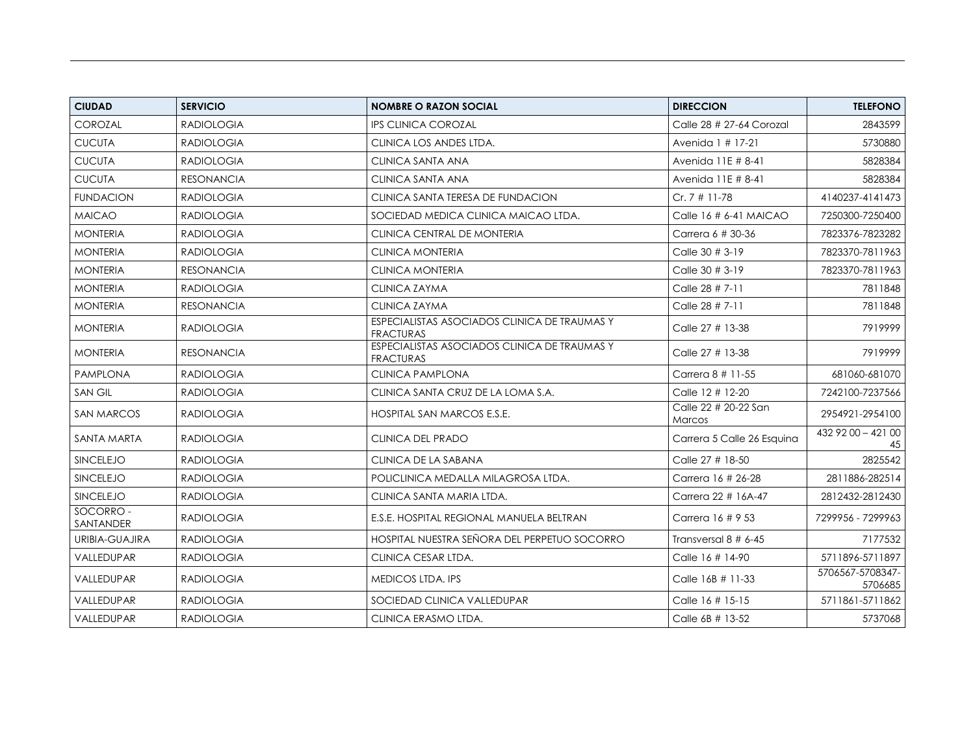| <b>CIUDAD</b>         | <b>SERVICIO</b>   | <b>NOMBRE O RAZON SOCIAL</b>                                     | <b>DIRECCION</b>               | <b>TELEFONO</b>             |
|-----------------------|-------------------|------------------------------------------------------------------|--------------------------------|-----------------------------|
| COROZAL               | <b>RADIOLOGIA</b> | <b>IPS CLINICA COROZAL</b>                                       | Calle 28 # 27-64 Corozal       | 2843599                     |
| <b>CUCUTA</b>         | <b>RADIOLOGIA</b> | CLINICA LOS ANDES LTDA.                                          | Avenida $1 \# 17-21$           | 5730880                     |
| <b>CUCUTA</b>         | <b>RADIOLOGIA</b> | CLINICA SANTA ANA                                                | Avenida $11E \# 8-41$          | 5828384                     |
| <b>CUCUTA</b>         | <b>RESONANCIA</b> | CLINICA SANTA ANA                                                | Avenida $11E \# 8-41$          | 5828384                     |
| <b>FUNDACION</b>      | <b>RADIOLOGIA</b> | CLINICA SANTA TERESA DE FUNDACION                                | $Cr.7#11-78$                   | 4140237-4141473             |
| <b>MAICAO</b>         | <b>RADIOLOGIA</b> | SOCIEDAD MEDICA CLINICA MAICAO LTDA.                             | Calle 16 # 6-41 MAICAO         | 7250300-7250400             |
| <b>MONTERIA</b>       | <b>RADIOLOGIA</b> | CLINICA CENTRAL DE MONTERIA                                      | Carrera 6 # 30-36              | 7823376-7823282             |
| <b>MONTERIA</b>       | <b>RADIOLOGIA</b> | <b>CLINICA MONTERIA</b>                                          | Calle 30 # 3-19                | 7823370-7811963             |
| <b>MONTERIA</b>       | <b>RESONANCIA</b> | <b>CLINICA MONTERIA</b>                                          | Calle 30 # 3-19                | 7823370-7811963             |
| <b>MONTERIA</b>       | <b>RADIOLOGIA</b> | <b>CLINICA ZAYMA</b>                                             | Calle 28 # 7-11                | 7811848                     |
| <b>MONTERIA</b>       | <b>RESONANCIA</b> | CLINICA ZAYMA                                                    | Calle 28 # 7-11                | 7811848                     |
| <b>MONTERIA</b>       | <b>RADIOLOGIA</b> | ESPECIALISTAS ASOCIADOS CLINICA DE TRAUMAS Y<br><b>FRACTURAS</b> | Calle 27 # 13-38               | 7919999                     |
| <b>MONTERIA</b>       | <b>RESONANCIA</b> | ESPECIALISTAS ASOCIADOS CLINICA DE TRAUMAS Y<br><b>FRACTURAS</b> | Calle 27 # 13-38               | 7919999                     |
| <b>PAMPLONA</b>       | <b>RADIOLOGIA</b> | CLINICA PAMPLONA                                                 | Carrera 8 # 11-55              | 681060-681070               |
| <b>SAN GIL</b>        | <b>RADIOLOGIA</b> | CLINICA SANTA CRUZ DE LA LOMA S.A.                               | Calle 12 # 12-20               | 7242100-7237566             |
| SAN MARCOS            | <b>RADIOLOGIA</b> | <b>HOSPITAL SAN MARCOS E.S.E.</b>                                | Calle 22 # 20-22 San<br>Marcos | 2954921-2954100             |
| SANTA MARTA           | <b>RADIOLOGIA</b> | CLINICA DEL PRADO                                                | Carrera 5 Calle 26 Esquina     | 432 92 00 - 421 00<br>45    |
| SINCELEJO             | <b>RADIOLOGIA</b> | CLINICA DE LA SABANA                                             | Calle 27 # 18-50               | 2825542                     |
| SINCELEJO             | <b>RADIOLOGIA</b> | POLICLINICA MEDALLA MILAGROSA LTDA.                              | Carrera 16 # 26-28             | 2811886-282514              |
| SINCELEJO             | <b>RADIOLOGIA</b> | CLINICA SANTA MARIA LTDA.                                        | Carrera 22 # 16A-47            | 2812432-2812430             |
| SOCORRO-<br>SANTANDER | <b>RADIOLOGIA</b> | E.S.E. HOSPITAL REGIONAL MANUELA BELTRAN                         | Carrera 16 # 9 53              | 7299956 - 7299963           |
| URIBIA-GUAJIRA        | <b>RADIOLOGIA</b> | HOSPITAL NUESTRA SEÑORA DEL PERPETUO SOCORRO                     | Transversal $8 \# 6 - 45$      | 7177532                     |
| VALLEDUPAR            | <b>RADIOLOGIA</b> | CLINICA CESAR LTDA.                                              | Calle 16 # 14-90               | 5711896-5711897             |
| VALLEDUPAR            | <b>RADIOLOGIA</b> | MEDICOS LTDA. IPS                                                | Calle 16B # 11-33              | 5706567-5708347-<br>5706685 |
| VALLEDUPAR            | <b>RADIOLOGIA</b> | SOCIEDAD CLINICA VALLEDUPAR                                      | Calle 16 # 15-15               | 5711861-5711862             |
| VALLEDUPAR            | <b>RADIOLOGIA</b> | CLINICA ERASMO LTDA.                                             | Calle $6B \# 13-52$            | 5737068                     |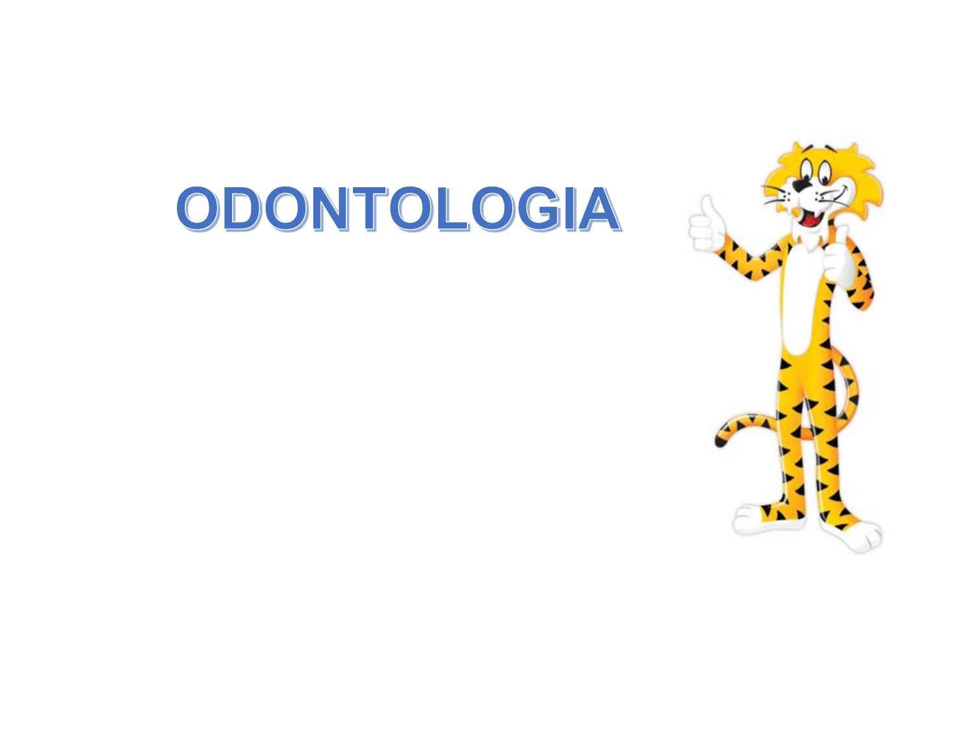## ODONTOLOGIA